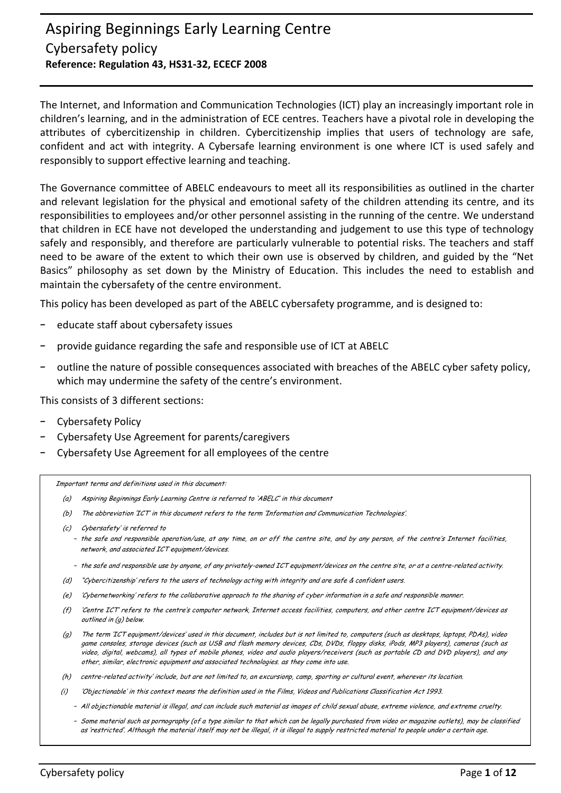# Aspiring Beginnings Early Learning Centre Cybersafety policy **Reference: Regulation 43, HS31-32, ECECF 2008**

The Internet, and Information and Communication Technologies (ICT) play an increasingly important role in children's learning, and in the administration of ECE centres. Teachers have a pivotal role in developing the attributes of cybercitizenship in children. Cybercitizenship implies that users of technology are safe, confident and act with integrity. A Cybersafe learning environment is one where ICT is used safely and responsibly to support effective learning and teaching.

The Governance committee of ABELC endeavours to meet all its responsibilities as outlined in the charter and relevant legislation for the physical and emotional safety of the children attending its centre, and its responsibilities to employees and/or other personnel assisting in the running of the centre. We understand that children in ECE have not developed the understanding and judgement to use this type of technology safely and responsibly, and therefore are particularly vulnerable to potential risks. The teachers and staff need to be aware of the extent to which their own use is observed by children, and guided by the "Net Basics" philosophy as set down by the Ministry of Education. This includes the need to establish and maintain the cybersafety of the centre environment.

This policy has been developed as part of the ABELC cybersafety programme, and is designed to:

- − educate staff about cybersafety issues
- − provide guidance regarding the safe and responsible use of ICT at ABELC
- − outline the nature of possible consequences associated with breaches of the ABELC cyber safety policy, which may undermine the safety of the centre's environment.

This consists of 3 different sections:

- − Cybersafety Policy
- − Cybersafety Use Agreement for parents/caregivers
- − Cybersafety Use Agreement for all employees of the centre

Important terms and definitions used in this document:

- (a) Aspiring Beginnings Early Learning Centre is referred to 'ABELC' in this document
- (b) The abbreviation 'ICT' in this document refers to the term 'Information and Communication Technologies'.
- (c) Cybersafety' is referred to
	- − the safe and responsible operation/use, at any time, on or off the centre site, and by any person, of the centre's Internet facilities, network, and associated ICT equipment/devices.
	- − the safe and responsible use by anyone, of any privately-owned ICT equipment/devices on the centre site, or at a centre-related activity.
- (d) "Cybercitizenship' refers to the users of technology acting with integrity and are safe & confident users.
- (e) 'Cybernetworking' refers to the collaborative approach to the sharing of cyber information in a safe and responsible manner.
- (f) 'Centre ICT' refers to the centre's computer network, Internet access facilities, computers, and other centre ICT equipment/devices as outlined in (g) below.
- (g) The term 'ICT equipment/devices' used in this document, includes but is not limited to, computers (such as desktops, laptops, PDAs), video game consoles, storage devices (such as USB and flash memory devices, CDs, DVDs, floppy disks, iPods, MP3 players), cameras (such as video, digital, webcams), all types of mobile phones, video and audio players/receivers (such as portable CD and DVD players), and any other, similar, electronic equipment and associated technologies. as they come into use.
- (h) centre-related activity' include, but are not limited to, an excursionp, camp, sporting or cultural event, wherever its location.
- (i) 'Objectionable' in this context means the definition used in the Films, Videos and Publications Classification Act 1993.
	- − All objectionable material is illegal, and can include such material as images of child sexual abuse, extreme violence, and extreme cruelty.
	- − Some material such as pornography (of a type similar to that which can be legally purchased from video or magazine outlets), may be classified as 'restricted'. Although the material itself may not be illegal, it is illegal to supply restricted material to people under a certain age.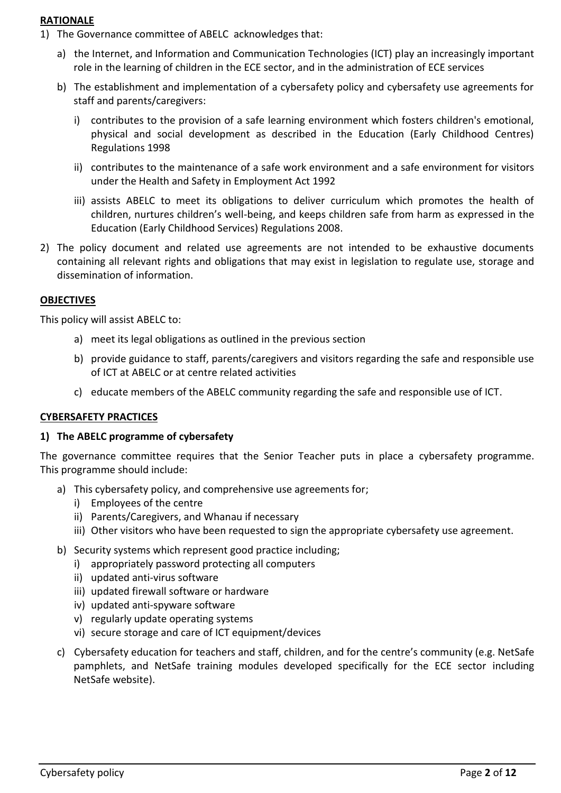### **RATIONALE**

- 1) The Governance committee of ABELC acknowledges that:
	- a) the Internet, and Information and Communication Technologies (ICT) play an increasingly important role in the learning of children in the ECE sector, and in the administration of ECE services
	- b) The establishment and implementation of a cybersafety policy and cybersafety use agreements for staff and parents/caregivers:
		- i) contributes to the provision of a safe learning environment which fosters children's emotional, physical and social development as described in the Education (Early Childhood Centres) Regulations 1998
		- ii) contributes to the maintenance of a safe work environment and a safe environment for visitors under the Health and Safety in Employment Act 1992
		- iii) assists ABELC to meet its obligations to deliver curriculum which promotes the health of children, nurtures children's well-being, and keeps children safe from harm as expressed in the Education (Early Childhood Services) Regulations 2008.
- 2) The policy document and related use agreements are not intended to be exhaustive documents containing all relevant rights and obligations that may exist in legislation to regulate use, storage and dissemination of information.

# **OBJECTIVES**

This policy will assist ABELC to:

- a) meet its legal obligations as outlined in the previous section
- b) provide guidance to staff, parents/caregivers and visitors regarding the safe and responsible use of ICT at ABELC or at centre related activities
- c) educate members of the ABELC community regarding the safe and responsible use of ICT.

# **CYBERSAFETY PRACTICES**

#### **1) The ABELC programme of cybersafety**

The governance committee requires that the Senior Teacher puts in place a cybersafety programme. This programme should include:

- a) This cybersafety policy, and comprehensive use agreements for;
	- i) Employees of the centre
	- ii) Parents/Caregivers, and Whanau if necessary
	- iii) Other visitors who have been requested to sign the appropriate cybersafety use agreement.
- b) Security systems which represent good practice including;
	- i) appropriately password protecting all computers
	- ii) updated anti-virus software
	- iii) updated firewall software or hardware
	- iv) updated anti-spyware software
	- v) regularly update operating systems
	- vi) secure storage and care of ICT equipment/devices
- c) Cybersafety education for teachers and staff, children, and for the centre's community (e.g. NetSafe pamphlets, and NetSafe training modules developed specifically for the ECE sector including NetSafe website).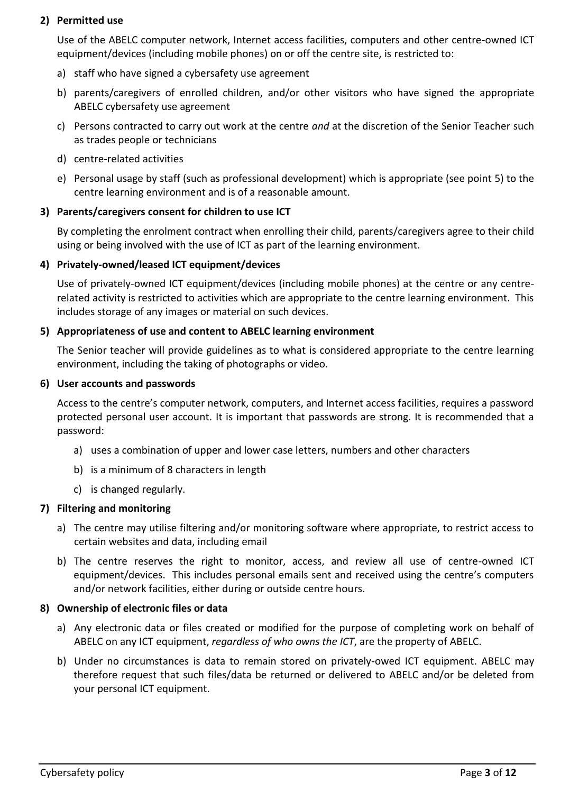# **2) Permitted use**

Use of the ABELC computer network, Internet access facilities, computers and other centre-owned ICT equipment/devices (including mobile phones) on or off the centre site, is restricted to:

- a) staff who have signed a cybersafety use agreement
- b) parents/caregivers of enrolled children, and/or other visitors who have signed the appropriate ABELC cybersafety use agreement
- c) Persons contracted to carry out work at the centre *and* at the discretion of the Senior Teacher such as trades people or technicians
- d) centre-related activities
- e) Personal usage by staff (such as professional development) which is appropriate (see point 5) to the centre learning environment and is of a reasonable amount.

# **3) Parents/caregivers consent for children to use ICT**

By completing the enrolment contract when enrolling their child, parents/caregivers agree to their child using or being involved with the use of ICT as part of the learning environment.

### **4) Privately-owned/leased ICT equipment/devices**

Use of privately-owned ICT equipment/devices (including mobile phones) at the centre or any centrerelated activity is restricted to activities which are appropriate to the centre learning environment. This includes storage of any images or material on such devices.

### **5) Appropriateness of use and content to ABELC learning environment**

The Senior teacher will provide guidelines as to what is considered appropriate to the centre learning environment, including the taking of photographs or video.

### **6) User accounts and passwords**

Access to the centre's computer network, computers, and Internet access facilities, requires a password protected personal user account. It is important that passwords are strong. It is recommended that a password:

- a) uses a combination of upper and lower case letters, numbers and other characters
- b) is a minimum of 8 characters in length
- c) is changed regularly.

# **7) Filtering and monitoring**

- a) The centre may utilise filtering and/or monitoring software where appropriate, to restrict access to certain websites and data, including email
- b) The centre reserves the right to monitor, access, and review all use of centre-owned ICT equipment/devices. This includes personal emails sent and received using the centre's computers and/or network facilities, either during or outside centre hours.

#### **8) Ownership of electronic files or data**

- a) Any electronic data or files created or modified for the purpose of completing work on behalf of ABELC on any ICT equipment, *regardless of who owns the ICT*, are the property of ABELC.
- b) Under no circumstances is data to remain stored on privately-owed ICT equipment. ABELC may therefore request that such files/data be returned or delivered to ABELC and/or be deleted from your personal ICT equipment.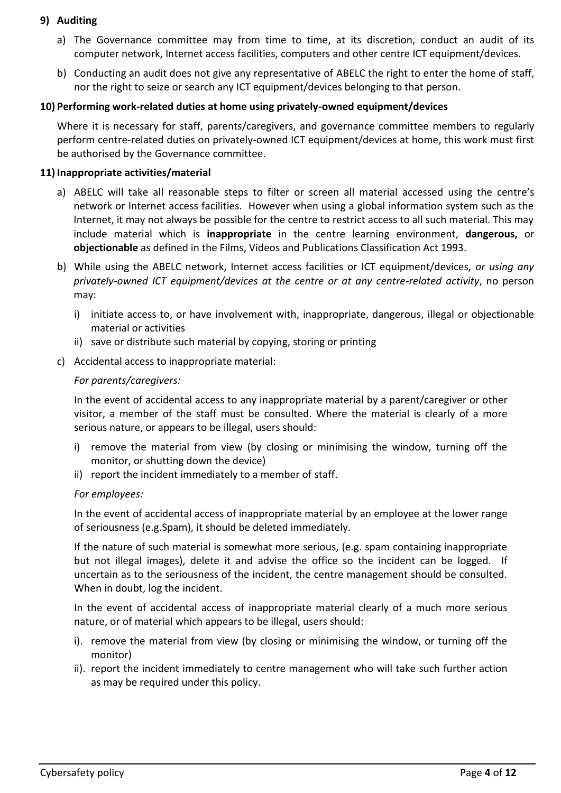# **9) Auditing**

- a) The Governance committee may from time to time, at its discretion, conduct an audit of its computer network, Internet access facilities, computers and other centre ICT equipment/devices.
- b) Conducting an audit does not give any representative of ABELC the right to enter the home of staff, nor the right to seize or search any ICT equipment/devices belonging to that person.

# **10) Performing work-related duties at home using privately-owned equipment/devices**

Where it is necessary for staff, parents/caregivers, and governance committee members to regularly perform centre-related duties on privately-owned ICT equipment/devices at home, this work must first be authorised by the Governance committee.

# **11) Inappropriate activities/material**

- a) ABELC will take all reasonable steps to filter or screen all material accessed using the centre's network or Internet access facilities. However when using a global information system such as the Internet, it may not always be possible for the centre to restrict access to all such material. This may include material which is **inappropriate** in the centre learning environment, **dangerous,** or **objectionable** as defined in the Films, Videos and Publications Classification Act 1993.
- b) While using the ABELC network, Internet access facilities or ICT equipment/devices, *or using any privately-owned ICT equipment/devices at the centre or at any centre-related activity*, no person may:
	- i) initiate access to, or have involvement with, inappropriate, dangerous, illegal or objectionable material or activities
	- ii) save or distribute such material by copying, storing or printing
- c) Accidental access to inappropriate material:

# *For parents/caregivers:*

In the event of accidental access to any inappropriate material by a parent/caregiver or other visitor, a member of the staff must be consulted. Where the material is clearly of a more serious nature, or appears to be illegal, users should:

- i) remove the material from view (by closing or minimising the window, turning off the monitor, or shutting down the device)
- ii) report the incident immediately to a member of staff.

# *For employees:*

In the event of accidental access of inappropriate material by an employee at the lower range of seriousness (e.g.Spam), it should be deleted immediately.

If the nature of such material is somewhat more serious, (e.g. spam containing inappropriate but not illegal images), delete it and advise the office so the incident can be logged. If uncertain as to the seriousness of the incident, the centre management should be consulted. When in doubt, log the incident.

In the event of accidental access of inappropriate material clearly of a much more serious nature, or of material which appears to be illegal, users should:

- i). remove the material from view (by closing or minimising the window, or turning off the monitor)
- ii). report the incident immediately to centre management who will take such further action as may be required under this policy.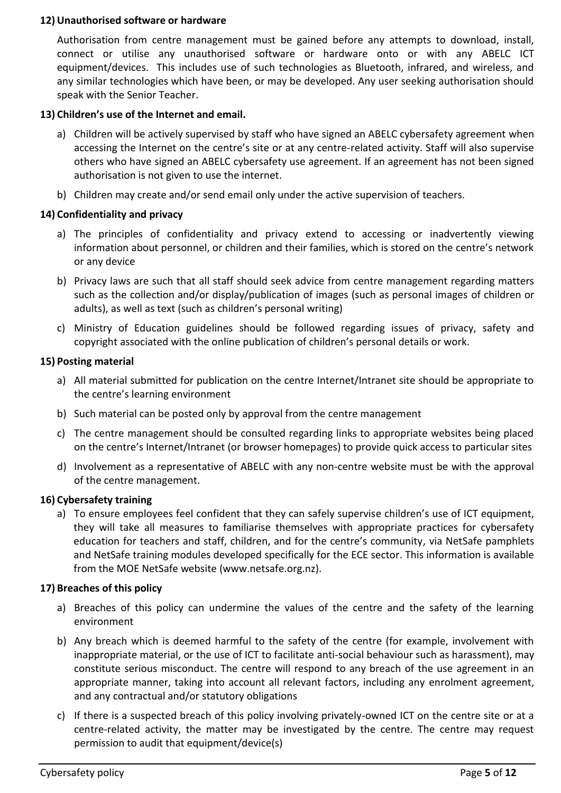### **12) Unauthorised software or hardware**

Authorisation from centre management must be gained before any attempts to download, install, connect or utilise any unauthorised software or hardware onto or with any ABELC ICT equipment/devices. This includes use of such technologies as Bluetooth, infrared, and wireless, and any similar technologies which have been, or may be developed. Any user seeking authorisation should speak with the Senior Teacher.

### **13) Children's use of the Internet and email.**

- a) Children will be actively supervised by staff who have signed an ABELC cybersafety agreement when accessing the Internet on the centre's site or at any centre-related activity. Staff will also supervise others who have signed an ABELC cybersafety use agreement. If an agreement has not been signed authorisation is not given to use the internet.
- b) Children may create and/or send email only under the active supervision of teachers.

### **14) Confidentiality and privacy**

- a) The principles of confidentiality and privacy extend to accessing or inadvertently viewing information about personnel, or children and their families, which is stored on the centre's network or any device
- b) Privacy laws are such that all staff should seek advice from centre management regarding matters such as the collection and/or display/publication of images (such as personal images of children or adults), as well as text (such as children's personal writing)
- c) Ministry of Education guidelines should be followed regarding issues of privacy, safety and copyright associated with the online publication of children's personal details or work.

### **15) Posting material**

- a) All material submitted for publication on the centre Internet/Intranet site should be appropriate to the centre's learning environment
- b) Such material can be posted only by approval from the centre management
- c) The centre management should be consulted regarding links to appropriate websites being placed on the centre's Internet/Intranet (or browser homepages) to provide quick access to particular sites
- d) Involvement as a representative of ABELC with any non-centre website must be with the approval of the centre management.

#### **16) Cybersafety training**

a) To ensure employees feel confident that they can safely supervise children's use of ICT equipment, they will take all measures to familiarise themselves with appropriate practices for cybersafety education for teachers and staff, children, and for the centre's community, via NetSafe pamphlets and NetSafe training modules developed specifically for the ECE sector. This information is available from the MOE NetSafe website (www.netsafe.org.nz).

#### **17) Breaches of this policy**

- a) Breaches of this policy can undermine the values of the centre and the safety of the learning environment
- b) Any breach which is deemed harmful to the safety of the centre (for example, involvement with inappropriate material, or the use of ICT to facilitate anti-social behaviour such as harassment), may constitute serious misconduct. The centre will respond to any breach of the use agreement in an appropriate manner, taking into account all relevant factors, including any enrolment agreement, and any contractual and/or statutory obligations
- c) If there is a suspected breach of this policy involving privately-owned ICT on the centre site or at a centre-related activity, the matter may be investigated by the centre. The centre may request permission to audit that equipment/device(s)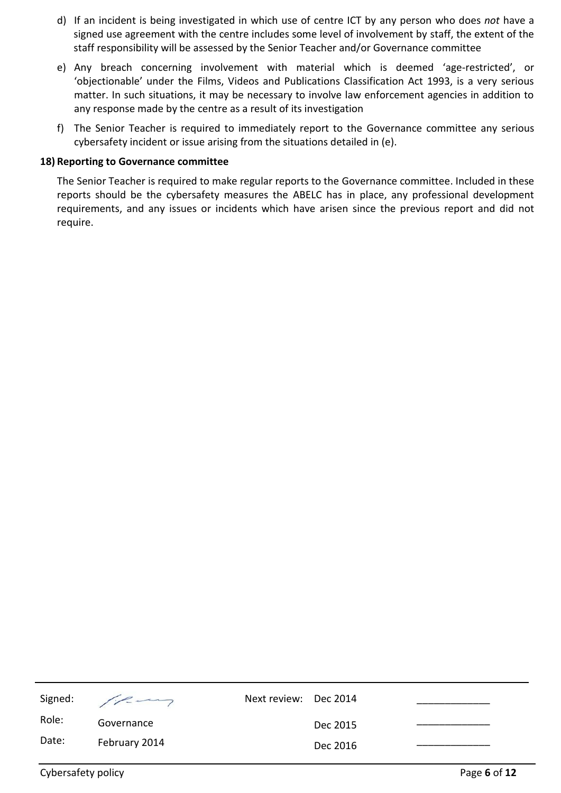- d) If an incident is being investigated in which use of centre ICT by any person who does *not* have a signed use agreement with the centre includes some level of involvement by staff, the extent of the staff responsibility will be assessed by the Senior Teacher and/or Governance committee
- e) Any breach concerning involvement with material which is deemed 'age-restricted', or 'objectionable' under the Films, Videos and Publications Classification Act 1993, is a very serious matter. In such situations, it may be necessary to involve law enforcement agencies in addition to any response made by the centre as a result of its investigation
- f) The Senior Teacher is required to immediately report to the Governance committee any serious cybersafety incident or issue arising from the situations detailed in (e).

#### **18) Reporting to Governance committee**

The Senior Teacher is required to make regular reports to the Governance committee. Included in these reports should be the cybersafety measures the ABELC has in place, any professional development requirements, and any issues or incidents which have arisen since the previous report and did not require.

| Signed: | $\sqrt{2}$    | Next review: Dec 2014 |          |  |
|---------|---------------|-----------------------|----------|--|
| Role:   | Governance    |                       | Dec 2015 |  |
| Date:   | February 2014 |                       | Dec 2016 |  |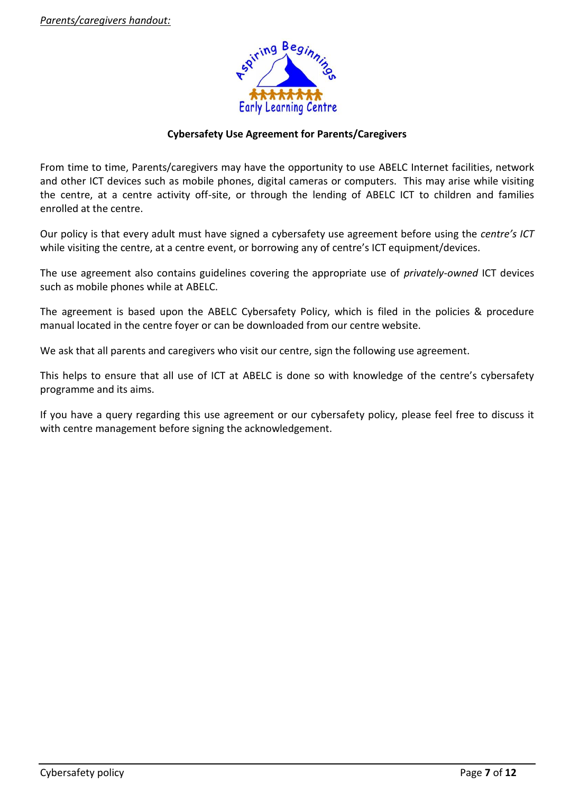

# **Cybersafety Use Agreement for Parents/Caregivers**

From time to time, Parents/caregivers may have the opportunity to use ABELC Internet facilities, network and other ICT devices such as mobile phones, digital cameras or computers. This may arise while visiting the centre, at a centre activity off-site, or through the lending of ABELC ICT to children and families enrolled at the centre.

Our policy is that every adult must have signed a cybersafety use agreement before using the *centre's ICT* while visiting the centre, at a centre event, or borrowing any of centre's ICT equipment/devices.

The use agreement also contains guidelines covering the appropriate use of *privately-owned* ICT devices such as mobile phones while at ABELC.

The agreement is based upon the ABELC Cybersafety Policy, which is filed in the policies & procedure manual located in the centre foyer or can be downloaded from our centre website.

We ask that all parents and caregivers who visit our centre, sign the following use agreement.

This helps to ensure that all use of ICT at ABELC is done so with knowledge of the centre's cybersafety programme and its aims.

If you have a query regarding this use agreement or our cybersafety policy, please feel free to discuss it with centre management before signing the acknowledgement.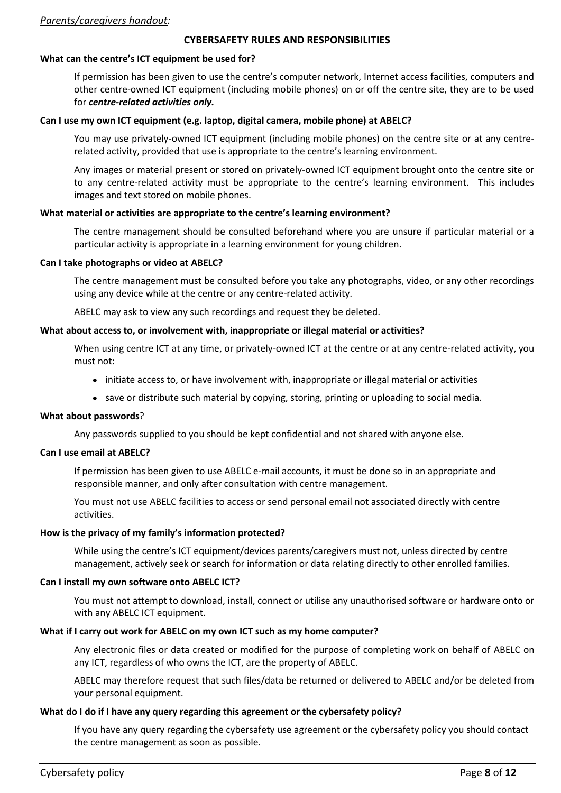### *Parents/caregivers handout:*

#### **CYBERSAFETY RULES AND RESPONSIBILITIES**

# **What can the centre's ICT equipment be used for?**

If permission has been given to use the centre's computer network, Internet access facilities, computers and other centre-owned ICT equipment (including mobile phones) on or off the centre site, they are to be used for *centre-related activities only.*

# **Can I use my own ICT equipment (e.g. laptop, digital camera, mobile phone) at ABELC?**

You may use privately-owned ICT equipment (including mobile phones) on the centre site or at any centrerelated activity, provided that use is appropriate to the centre's learning environment.

Any images or material present or stored on privately-owned ICT equipment brought onto the centre site or to any centre-related activity must be appropriate to the centre's learning environment. This includes images and text stored on mobile phones.

# **What material or activities are appropriate to the centre's learning environment?**

The centre management should be consulted beforehand where you are unsure if particular material or a particular activity is appropriate in a learning environment for young children.

# **Can I take photographs or video at ABELC?**

The centre management must be consulted before you take any photographs, video, or any other recordings using any device while at the centre or any centre-related activity.

ABELC may ask to view any such recordings and request they be deleted.

# **What about access to, or involvement with, inappropriate or illegal material or activities?**

When using centre ICT at any time, or privately-owned ICT at the centre or at any centre-related activity, you must not:

- initiate access to, or have involvement with, inappropriate or illegal material or activities
- save or distribute such material by copying, storing, printing or uploading to social media.

# **What about passwords**?

Any passwords supplied to you should be kept confidential and not shared with anyone else.

# **Can I use email at ABELC?**

If permission has been given to use ABELC e-mail accounts, it must be done so in an appropriate and responsible manner, and only after consultation with centre management.

You must not use ABELC facilities to access or send personal email not associated directly with centre activities.

# **How is the privacy of my family's information protected?**

While using the centre's ICT equipment/devices parents/caregivers must not, unless directed by centre management, actively seek or search for information or data relating directly to other enrolled families.

# **Can I install my own software onto ABELC ICT?**

You must not attempt to download, install, connect or utilise any unauthorised software or hardware onto or with any ABELC ICT equipment.

# **What if I carry out work for ABELC on my own ICT such as my home computer?**

Any electronic files or data created or modified for the purpose of completing work on behalf of ABELC on any ICT, regardless of who owns the ICT, are the property of ABELC.

ABELC may therefore request that such files/data be returned or delivered to ABELC and/or be deleted from your personal equipment.

# **What do I do if I have any query regarding this agreement or the cybersafety policy?**

If you have any query regarding the cybersafety use agreement or the cybersafety policy you should contact the centre management as soon as possible.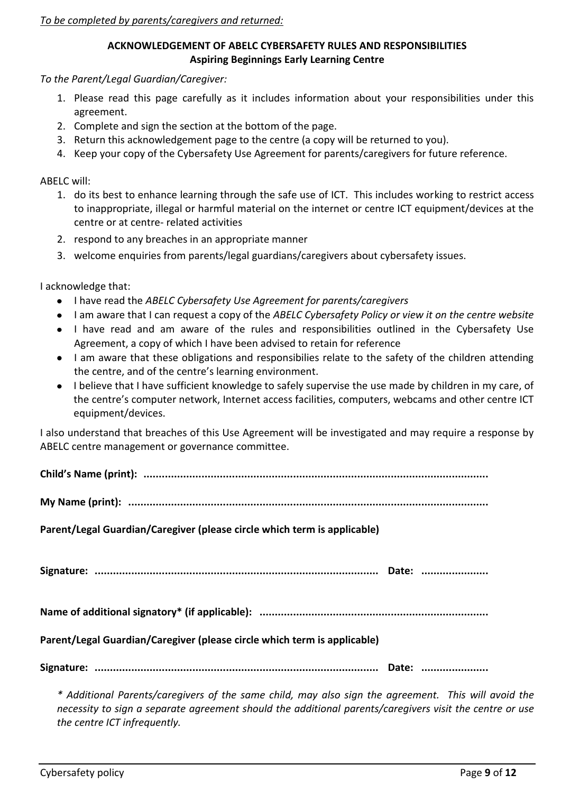### **ACKNOWLEDGEMENT OF ABELC CYBERSAFETY RULES AND RESPONSIBILITIES Aspiring Beginnings Early Learning Centre**

*To the Parent/Legal Guardian/Caregiver:*

- 1. Please read this page carefully as it includes information about your responsibilities under this agreement.
- 2. Complete and sign the section at the bottom of the page.
- 3. Return this acknowledgement page to the centre (a copy will be returned to you).
- 4. Keep your copy of the Cybersafety Use Agreement for parents/caregivers for future reference.

ABELC will:

- 1. do its best to enhance learning through the safe use of ICT. This includes working to restrict access to inappropriate, illegal or harmful material on the internet or centre ICT equipment/devices at the centre or at centre- related activities
- 2. respond to any breaches in an appropriate manner
- 3. welcome enquiries from parents/legal guardians/caregivers about cybersafety issues.

I acknowledge that:

- I have read the *ABELC Cybersafety Use Agreement for parents/caregivers*
- I am aware that I can request a copy of the *ABELC Cybersafety Policy or view it on the centre website*
- I have read and am aware of the rules and responsibilities outlined in the Cybersafety Use Agreement, a copy of which I have been advised to retain for reference
- I am aware that these obligations and responsibilies relate to the safety of the children attending the centre, and of the centre's learning environment.
- I believe that I have sufficient knowledge to safely supervise the use made by children in my care, of the centre's computer network, Internet access facilities, computers, webcams and other centre ICT equipment/devices.

I also understand that breaches of this Use Agreement will be investigated and may require a response by ABELC centre management or governance committee.

**Child's Name (print): .................................................................................................................** 

**My Name (print): ......................................................................................................................**

**Parent/Legal Guardian/Caregiver (please circle which term is applicable)**

**Signature: ............................................................................................. Date: ......................**

**Name of additional signatory\* (if applicable): ...........................................................................**

**Parent/Legal Guardian/Caregiver (please circle which term is applicable)**

**Signature: ............................................................................................. Date: ......................**

*\* Additional Parents/caregivers of the same child, may also sign the agreement. This will avoid the necessity to sign a separate agreement should the additional parents/caregivers visit the centre or use the centre ICT infrequently.*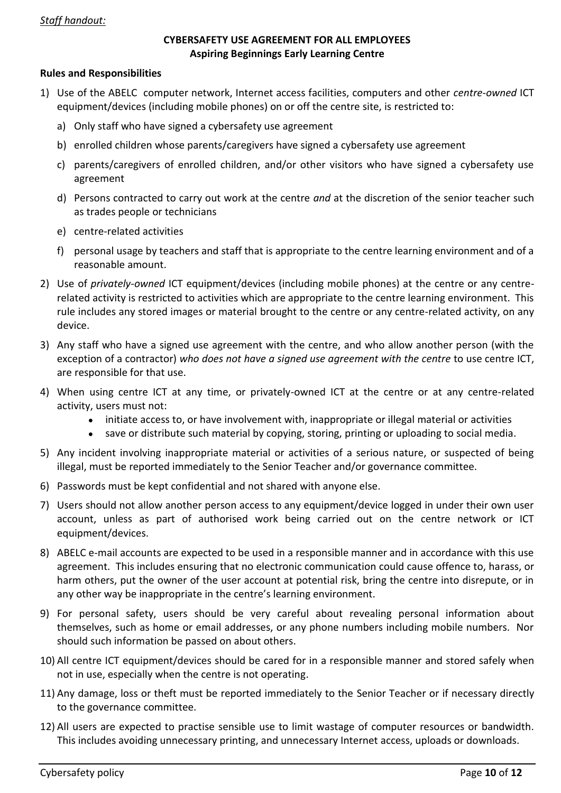### *Staff handout:*

### **CYBERSAFETY USE AGREEMENT FOR ALL EMPLOYEES Aspiring Beginnings Early Learning Centre**

#### **Rules and Responsibilities**

- 1) Use of the ABELC computer network, Internet access facilities, computers and other *centre-owned* ICT equipment/devices (including mobile phones) on or off the centre site, is restricted to:
	- a) Only staff who have signed a cybersafety use agreement
	- b) enrolled children whose parents/caregivers have signed a cybersafety use agreement
	- c) parents/caregivers of enrolled children, and/or other visitors who have signed a cybersafety use agreement
	- d) Persons contracted to carry out work at the centre *and* at the discretion of the senior teacher such as trades people or technicians
	- e) centre-related activities
	- f) personal usage by teachers and staff that is appropriate to the centre learning environment and of a reasonable amount.
- 2) Use of *privately-owned* ICT equipment/devices (including mobile phones) at the centre or any centrerelated activity is restricted to activities which are appropriate to the centre learning environment. This rule includes any stored images or material brought to the centre or any centre-related activity, on any device.
- 3) Any staff who have a signed use agreement with the centre, and who allow another person (with the exception of a contractor) *who does not have a signed use agreement with the centre* to use centre ICT, are responsible for that use.
- 4) When using centre ICT at any time, or privately-owned ICT at the centre or at any centre-related activity, users must not:
	- initiate access to, or have involvement with, inappropriate or illegal material or activities
	- save or distribute such material by copying, storing, printing or uploading to social media.
- 5) Any incident involving inappropriate material or activities of a serious nature, or suspected of being illegal, must be reported immediately to the Senior Teacher and/or governance committee.
- 6) Passwords must be kept confidential and not shared with anyone else.
- 7) Users should not allow another person access to any equipment/device logged in under their own user account, unless as part of authorised work being carried out on the centre network or ICT equipment/devices.
- 8) ABELC e-mail accounts are expected to be used in a responsible manner and in accordance with this use agreement. This includes ensuring that no electronic communication could cause offence to, harass, or harm others, put the owner of the user account at potential risk, bring the centre into disrepute, or in any other way be inappropriate in the centre's learning environment.
- 9) For personal safety, users should be very careful about revealing personal information about themselves, such as home or email addresses, or any phone numbers including mobile numbers. Nor should such information be passed on about others.
- 10) All centre ICT equipment/devices should be cared for in a responsible manner and stored safely when not in use, especially when the centre is not operating.
- 11) Any damage, loss or theft must be reported immediately to the Senior Teacher or if necessary directly to the governance committee.
- 12) All users are expected to practise sensible use to limit wastage of computer resources or bandwidth. This includes avoiding unnecessary printing, and unnecessary Internet access, uploads or downloads.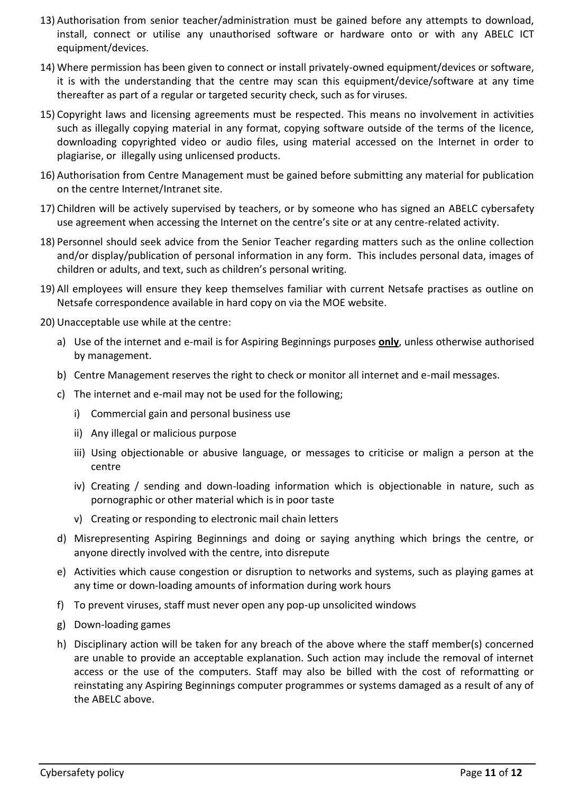- 13) Authorisation from senior teacher/administration must be gained before any attempts to download, install, connect or utilise any unauthorised software or hardware onto or with any ABELC ICT equipment/devices.
- 14) Where permission has been given to connect or install privately-owned equipment/devices or software, it is with the understanding that the centre may scan this equipment/device/software at any time thereafter as part of a regular or targeted security check, such as for viruses.
- 15) Copyright laws and licensing agreements must be respected. This means no involvement in activities such as illegally copying material in any format, copying software outside of the terms of the licence, downloading copyrighted video or audio files, using material accessed on the Internet in order to plagiarise, or illegally using unlicensed products.
- 16) Authorisation from Centre Management must be gained before submitting any material for publication on the centre Internet/Intranet site.
- 17) Children will be actively supervised by teachers, or by someone who has signed an ABELC cybersafety use agreement when accessing the Internet on the centre's site or at any centre-related activity.
- 18) Personnel should seek advice from the Senior Teacher regarding matters such as the online collection and/or display/publication of personal information in any form. This includes personal data, images of children or adults, and text, such as children's personal writing.
- 19) All employees will ensure they keep themselves familiar with current Netsafe practises as outline on Netsafe correspondence available in hard copy on via the MOE website.
- 20) Unacceptable use while at the centre:
	- a) Use of the internet and e-mail is for Aspiring Beginnings purposes **only**, unless otherwise authorised by management.
	- b) Centre Management reserves the right to check or monitor all internet and e-mail messages.
	- c) The internet and e-mail may not be used for the following;
		- i) Commercial gain and personal business use
		- ii) Any illegal or malicious purpose
		- iii) Using objectionable or abusive language, or messages to criticise or malign a person at the centre
		- iv) Creating / sending and down-loading information which is objectionable in nature, such as pornographic or other material which is in poor taste
		- v) Creating or responding to electronic mail chain letters
	- d) Misrepresenting Aspiring Beginnings and doing or saying anything which brings the centre, or anyone directly involved with the centre, into disrepute
	- e) Activities which cause congestion or disruption to networks and systems, such as playing games at any time or down-loading amounts of information during work hours
	- f) To prevent viruses, staff must never open any pop-up unsolicited windows
	- g) Down-loading games
	- h) Disciplinary action will be taken for any breach of the above where the staff member(s) concerned are unable to provide an acceptable explanation. Such action may include the removal of internet access or the use of the computers. Staff may also be billed with the cost of reformatting or reinstating any Aspiring Beginnings computer programmes or systems damaged as a result of any of the ABELC above.